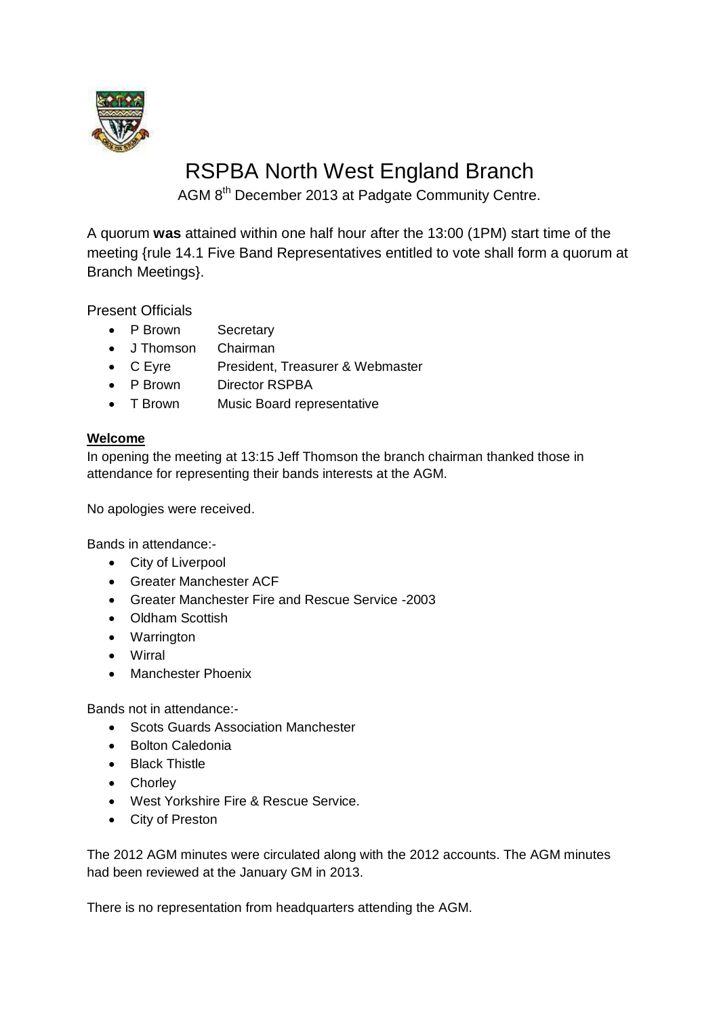

# RSPBA North West England Branch

AGM 8<sup>th</sup> December 2013 at Padgate Community Centre.

A quorum **was** attained within one half hour after the 13:00 (1PM) start time of the meeting {rule 14.1 Five Band Representatives entitled to vote shall form a quorum at Branch Meetings}.

Present Officials

- P Brown Secretary
- J Thomson Chairman
- C Eyre President, Treasurer & Webmaster
- P Brown Director RSPBA
- T Brown Music Board representative

### **Welcome**

In opening the meeting at 13:15 Jeff Thomson the branch chairman thanked those in attendance for representing their bands interests at the AGM.

No apologies were received.

Bands in attendance:-

- City of Liverpool
- Greater Manchester ACF
- Greater Manchester Fire and Rescue Service -2003
- Oldham Scottish
- Warrington
- Wirral
- Manchester Phoenix

Bands not in attendance:-

- Scots Guards Association Manchester
- Bolton Caledonia
- Black Thistle
- Chorley
- West Yorkshire Fire & Rescue Service.
- City of Preston

The 2012 AGM minutes were circulated along with the 2012 accounts. The AGM minutes had been reviewed at the January GM in 2013.

There is no representation from headquarters attending the AGM.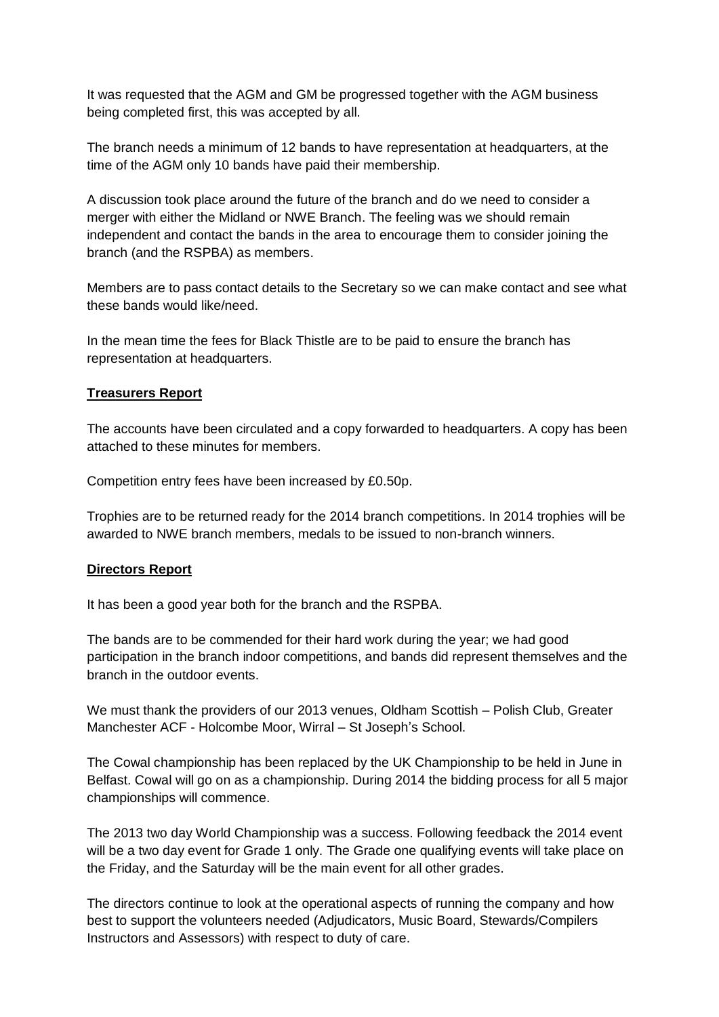It was requested that the AGM and GM be progressed together with the AGM business being completed first, this was accepted by all.

The branch needs a minimum of 12 bands to have representation at headquarters, at the time of the AGM only 10 bands have paid their membership.

A discussion took place around the future of the branch and do we need to consider a merger with either the Midland or NWE Branch. The feeling was we should remain independent and contact the bands in the area to encourage them to consider joining the branch (and the RSPBA) as members.

Members are to pass contact details to the Secretary so we can make contact and see what these bands would like/need.

In the mean time the fees for Black Thistle are to be paid to ensure the branch has representation at headquarters.

#### **Treasurers Report**

The accounts have been circulated and a copy forwarded to headquarters. A copy has been attached to these minutes for members.

Competition entry fees have been increased by £0.50p.

Trophies are to be returned ready for the 2014 branch competitions. In 2014 trophies will be awarded to NWE branch members, medals to be issued to non-branch winners.

#### **Directors Report**

It has been a good year both for the branch and the RSPBA.

The bands are to be commended for their hard work during the year; we had good participation in the branch indoor competitions, and bands did represent themselves and the branch in the outdoor events.

We must thank the providers of our 2013 venues, Oldham Scottish – Polish Club, Greater Manchester ACF - Holcombe Moor, Wirral – St Joseph's School.

The Cowal championship has been replaced by the UK Championship to be held in June in Belfast. Cowal will go on as a championship. During 2014 the bidding process for all 5 major championships will commence.

The 2013 two day World Championship was a success. Following feedback the 2014 event will be a two day event for Grade 1 only. The Grade one qualifying events will take place on the Friday, and the Saturday will be the main event for all other grades.

The directors continue to look at the operational aspects of running the company and how best to support the volunteers needed (Adjudicators, Music Board, Stewards/Compilers Instructors and Assessors) with respect to duty of care.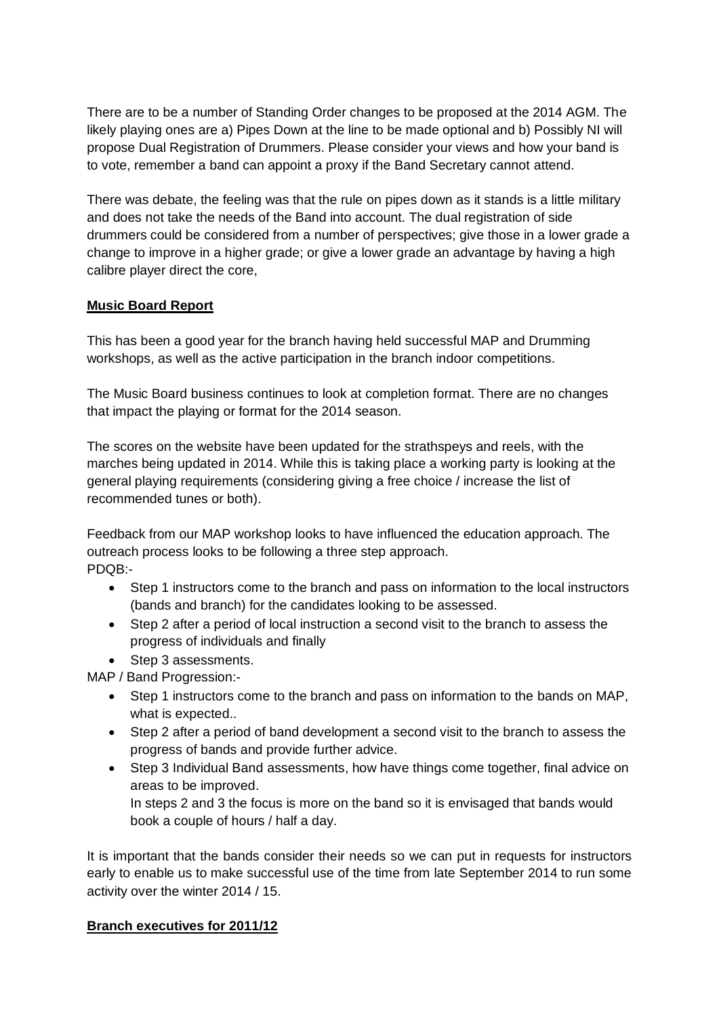There are to be a number of Standing Order changes to be proposed at the 2014 AGM. The likely playing ones are a) Pipes Down at the line to be made optional and b) Possibly NI will propose Dual Registration of Drummers. Please consider your views and how your band is to vote, remember a band can appoint a proxy if the Band Secretary cannot attend.

There was debate, the feeling was that the rule on pipes down as it stands is a little military and does not take the needs of the Band into account. The dual registration of side drummers could be considered from a number of perspectives; give those in a lower grade a change to improve in a higher grade; or give a lower grade an advantage by having a high calibre player direct the core,

#### **Music Board Report**

This has been a good year for the branch having held successful MAP and Drumming workshops, as well as the active participation in the branch indoor competitions.

The Music Board business continues to look at completion format. There are no changes that impact the playing or format for the 2014 season.

The scores on the website have been updated for the strathspeys and reels, with the marches being updated in 2014. While this is taking place a working party is looking at the general playing requirements (considering giving a free choice / increase the list of recommended tunes or both).

Feedback from our MAP workshop looks to have influenced the education approach. The outreach process looks to be following a three step approach. PDQB:-

- Step 1 instructors come to the branch and pass on information to the local instructors (bands and branch) for the candidates looking to be assessed.
- Step 2 after a period of local instruction a second visit to the branch to assess the progress of individuals and finally
- Step 3 assessments.

MAP / Band Progression:-

- Step 1 instructors come to the branch and pass on information to the bands on MAP, what is expected..
- Step 2 after a period of band development a second visit to the branch to assess the progress of bands and provide further advice.
- Step 3 Individual Band assessments, how have things come together, final advice on areas to be improved.

In steps 2 and 3 the focus is more on the band so it is envisaged that bands would book a couple of hours / half a day.

It is important that the bands consider their needs so we can put in requests for instructors early to enable us to make successful use of the time from late September 2014 to run some activity over the winter 2014 / 15.

### **Branch executives for 2011/12**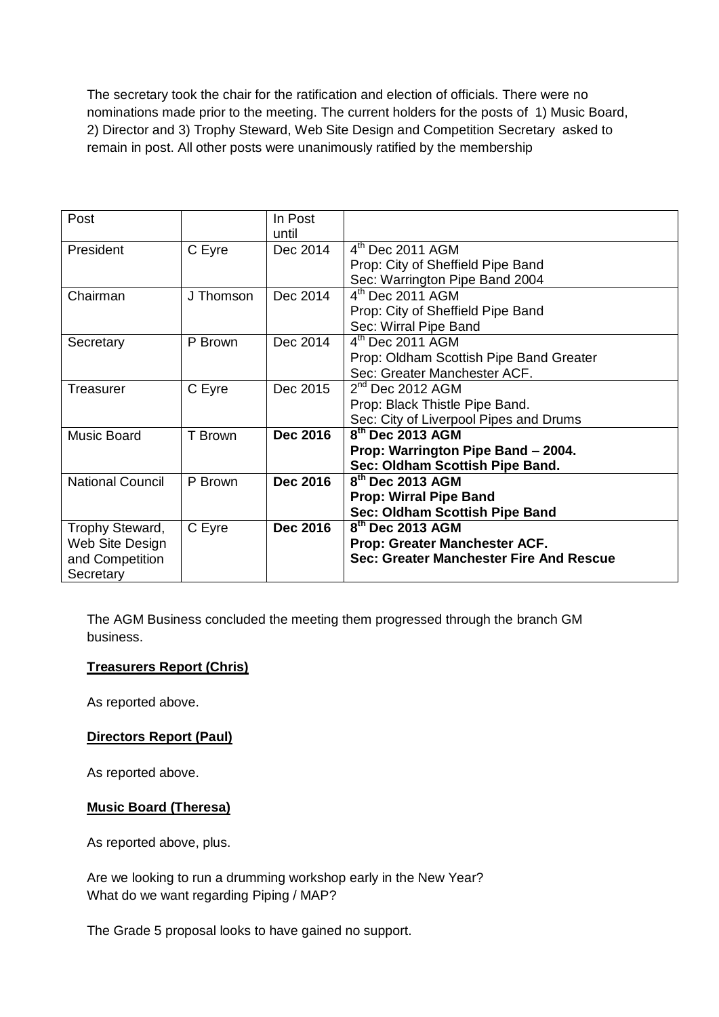The secretary took the chair for the ratification and election of officials. There were no nominations made prior to the meeting. The current holders for the posts of 1) Music Board, 2) Director and 3) Trophy Steward, Web Site Design and Competition Secretary asked to remain in post. All other posts were unanimously ratified by the membership

| Post                    |           | In Post         |                                         |  |
|-------------------------|-----------|-----------------|-----------------------------------------|--|
|                         |           |                 |                                         |  |
|                         |           | until           |                                         |  |
| President               | C Eyre    | Dec 2014        | $4th$ Dec 2011 AGM                      |  |
|                         |           |                 | Prop: City of Sheffield Pipe Band       |  |
|                         |           |                 | Sec: Warrington Pipe Band 2004          |  |
| Chairman                | J Thomson | Dec 2014        | $4th$ Dec 2011 AGM                      |  |
|                         |           |                 | Prop: City of Sheffield Pipe Band       |  |
|                         |           |                 | Sec: Wirral Pipe Band                   |  |
| Secretary               | P Brown   | Dec 2014        | $4th$ Dec 2011 AGM                      |  |
|                         |           |                 | Prop: Oldham Scottish Pipe Band Greater |  |
|                         |           |                 | Sec: Greater Manchester ACF.            |  |
| Treasurer               | C Eyre    | Dec 2015        | $2nd$ Dec 2012 AGM                      |  |
|                         |           |                 | Prop: Black Thistle Pipe Band.          |  |
|                         |           |                 | Sec: City of Liverpool Pipes and Drums  |  |
| <b>Music Board</b>      | T Brown   | <b>Dec 2016</b> | 8 <sup>th</sup> Dec 2013 AGM            |  |
|                         |           |                 | Prop: Warrington Pipe Band - 2004.      |  |
|                         |           |                 | Sec: Oldham Scottish Pipe Band.         |  |
| <b>National Council</b> | P Brown   | <b>Dec 2016</b> | $8th$ Dec 2013 AGM                      |  |
|                         |           |                 | <b>Prop: Wirral Pipe Band</b>           |  |
|                         |           |                 | Sec: Oldham Scottish Pipe Band          |  |
| Trophy Steward,         | C Eyre    | <b>Dec 2016</b> | $8th$ Dec 2013 AGM                      |  |
| Web Site Design         |           |                 | Prop: Greater Manchester ACF.           |  |
| and Competition         |           |                 | Sec: Greater Manchester Fire And Rescue |  |
| Secretary               |           |                 |                                         |  |
|                         |           |                 |                                         |  |

The AGM Business concluded the meeting them progressed through the branch GM business.

### **Treasurers Report (Chris)**

As reported above.

#### **Directors Report (Paul)**

As reported above.

#### **Music Board (Theresa)**

As reported above, plus.

Are we looking to run a drumming workshop early in the New Year? What do we want regarding Piping / MAP?

The Grade 5 proposal looks to have gained no support.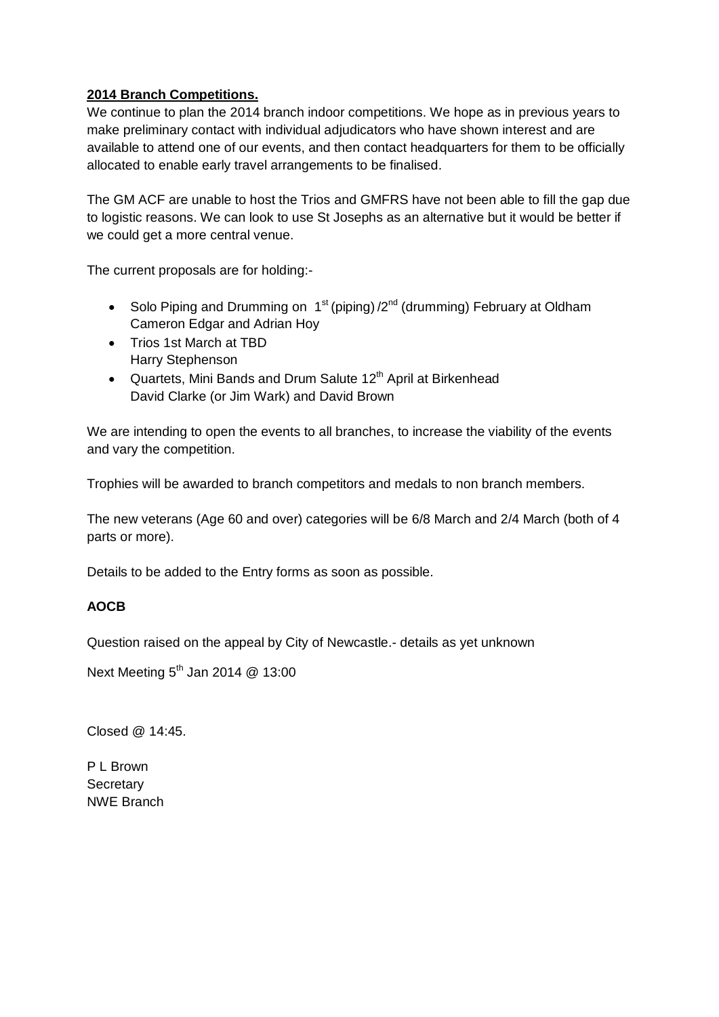### **2014 Branch Competitions.**

We continue to plan the 2014 branch indoor competitions. We hope as in previous years to make preliminary contact with individual adjudicators who have shown interest and are available to attend one of our events, and then contact headquarters for them to be officially allocated to enable early travel arrangements to be finalised.

The GM ACF are unable to host the Trios and GMFRS have not been able to fill the gap due to logistic reasons. We can look to use St Josephs as an alternative but it would be better if we could get a more central venue.

The current proposals are for holding:-

- Solo Piping and Drumming on  $1^{st}$  (piping)  $/2^{nd}$  (drumming) February at Oldham Cameron Edgar and Adrian Hoy
- Trios 1st March at TBD Harry Stephenson
- Quartets, Mini Bands and Drum Salute 12<sup>th</sup> April at Birkenhead David Clarke (or Jim Wark) and David Brown

We are intending to open the events to all branches, to increase the viability of the events and vary the competition.

Trophies will be awarded to branch competitors and medals to non branch members.

The new veterans (Age 60 and over) categories will be 6/8 March and 2/4 March (both of 4 parts or more).

Details to be added to the Entry forms as soon as possible.

### **AOCB**

Question raised on the appeal by City of Newcastle.- details as yet unknown

Next Meeting  $5<sup>th</sup>$  Jan 2014  $@$  13:00

Closed @ 14:45.

P L Brown **Secretary** NWE Branch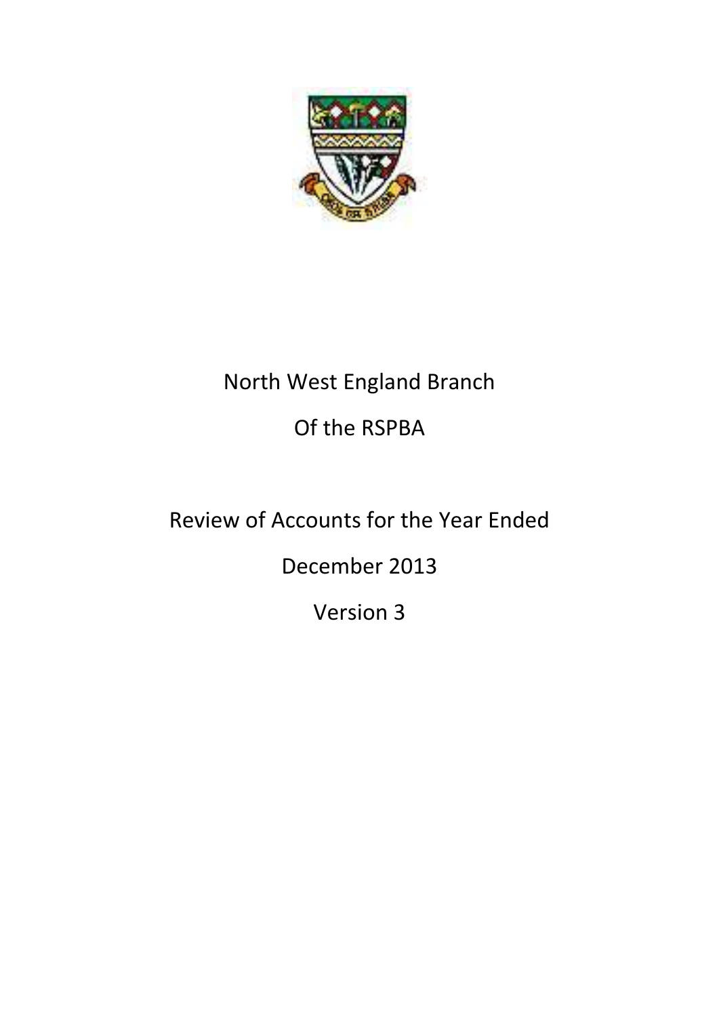

# North West England Branch Of the RSPBA

# Review of Accounts for the Year Ended

December 2013

Version 3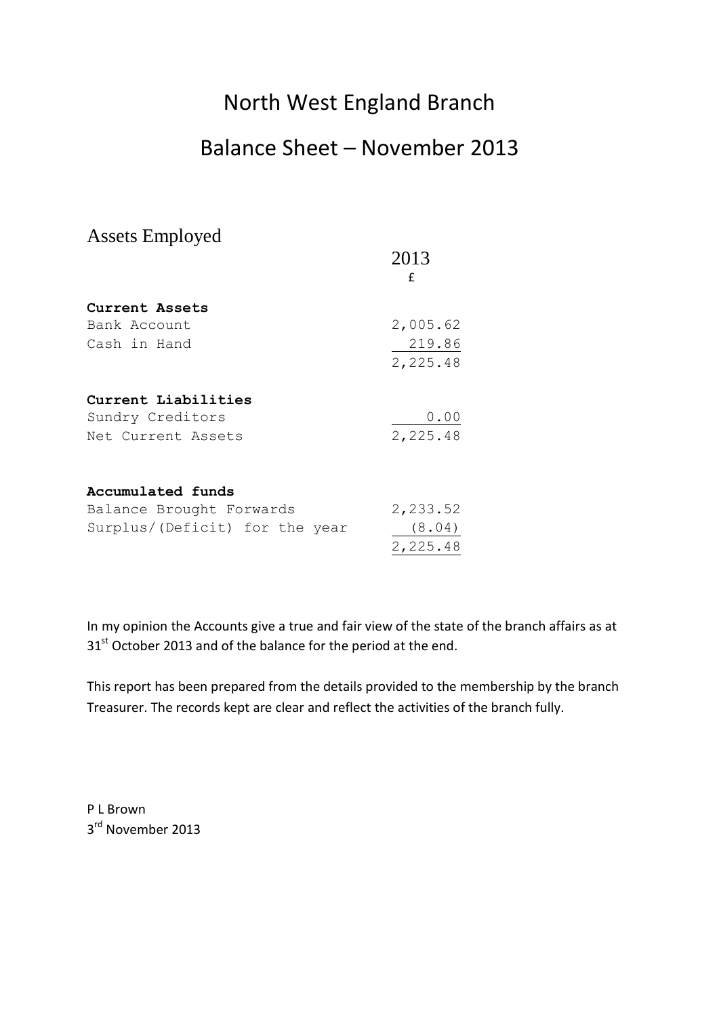# North West England Branch

### Balance Sheet – November 2013

| <b>Assets Employed</b>         |          |
|--------------------------------|----------|
|                                | 2013     |
|                                | f        |
| Current Assets                 |          |
| Bank Account                   | 2,005.62 |
| Cash in Hand                   | 219.86   |
|                                | 2,225.48 |
| Current Liabilities            |          |
| Sundry Creditors               | 0.00     |
| Net Current Assets             | 2,225.48 |
| Accumulated funds              |          |
|                                | 2,233.52 |
| Balance Brought Forwards       |          |
| Surplus/(Deficit) for the year | (8.04)   |
|                                | 2,225.48 |

In my opinion the Accounts give a true and fair view of the state of the branch affairs as at 31<sup>st</sup> October 2013 and of the balance for the period at the end.

This report has been prepared from the details provided to the membership by the branch Treasurer. The records kept are clear and reflect the activities of the branch fully.

P L Brown 3<sup>rd</sup> November 2013